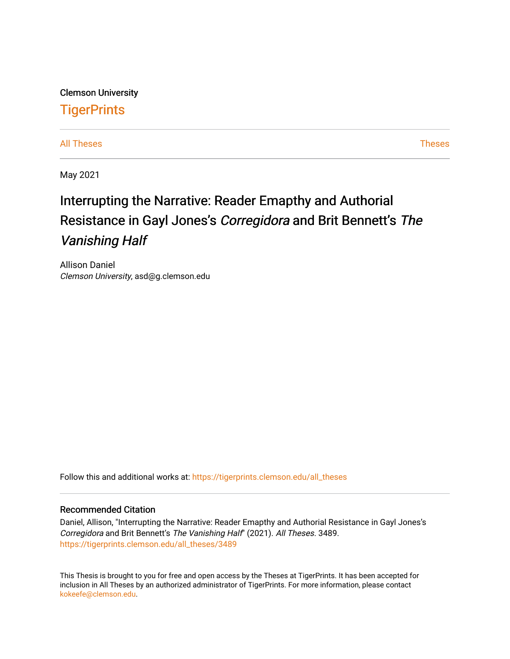Clemson University **TigerPrints** 

[All Theses](https://tigerprints.clemson.edu/all_theses) **Theses** [Theses](https://tigerprints.clemson.edu/theses) **Theses** 

May 2021

# Interrupting the Narrative: Reader Emapthy and Authorial Resistance in Gayl Jones's Corregidora and Brit Bennett's The Vanishing Half

Allison Daniel Clemson University, asd@g.clemson.edu

Follow this and additional works at: [https://tigerprints.clemson.edu/all\\_theses](https://tigerprints.clemson.edu/all_theses?utm_source=tigerprints.clemson.edu%2Fall_theses%2F3489&utm_medium=PDF&utm_campaign=PDFCoverPages) 

#### Recommended Citation

Daniel, Allison, "Interrupting the Narrative: Reader Emapthy and Authorial Resistance in Gayl Jones's Corregidora and Brit Bennett's The Vanishing Half" (2021). All Theses. 3489. [https://tigerprints.clemson.edu/all\\_theses/3489](https://tigerprints.clemson.edu/all_theses/3489?utm_source=tigerprints.clemson.edu%2Fall_theses%2F3489&utm_medium=PDF&utm_campaign=PDFCoverPages) 

This Thesis is brought to you for free and open access by the Theses at TigerPrints. It has been accepted for inclusion in All Theses by an authorized administrator of TigerPrints. For more information, please contact [kokeefe@clemson.edu](mailto:kokeefe@clemson.edu).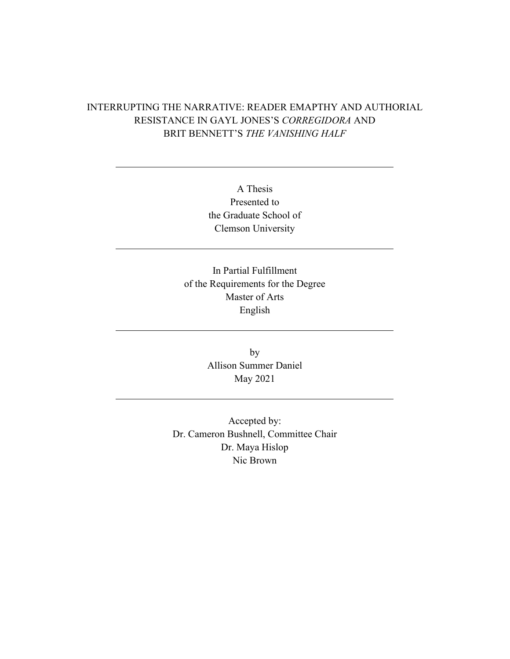## INTERRUPTING THE NARRATIVE: READER EMAPTHY AND AUTHORIAL RESISTANCE IN GAYL JONES'S *CORREGIDORA* AND BRIT BENNETT'S *THE VANISHING HALF*

A Thesis Presented to the Graduate School of Clemson University

In Partial Fulfillment of the Requirements for the Degree Master of Arts English

> by Allison Summer Daniel May 2021

Accepted by: Dr. Cameron Bushnell, Committee Chair Dr. Maya Hislop Nic Brown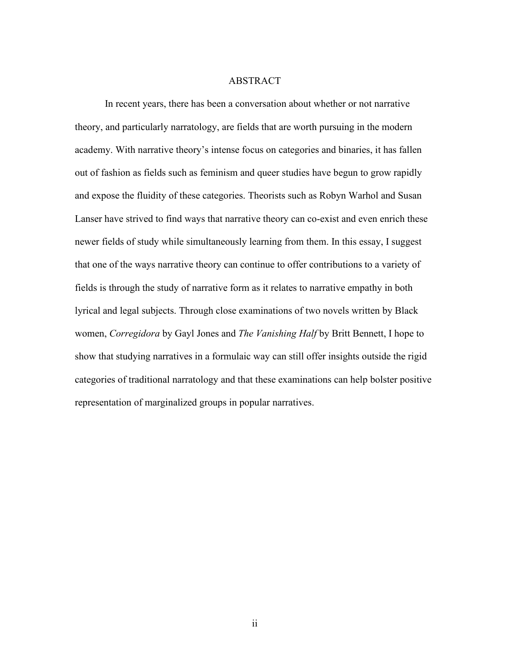#### ABSTRACT

In recent years, there has been a conversation about whether or not narrative theory, and particularly narratology, are fields that are worth pursuing in the modern academy. With narrative theory's intense focus on categories and binaries, it has fallen out of fashion as fields such as feminism and queer studies have begun to grow rapidly and expose the fluidity of these categories. Theorists such as Robyn Warhol and Susan Lanser have strived to find ways that narrative theory can co-exist and even enrich these newer fields of study while simultaneously learning from them. In this essay, I suggest that one of the ways narrative theory can continue to offer contributions to a variety of fields is through the study of narrative form as it relates to narrative empathy in both lyrical and legal subjects. Through close examinations of two novels written by Black women, *Corregidora* by Gayl Jones and *The Vanishing Half* by Britt Bennett, I hope to show that studying narratives in a formulaic way can still offer insights outside the rigid categories of traditional narratology and that these examinations can help bolster positive representation of marginalized groups in popular narratives.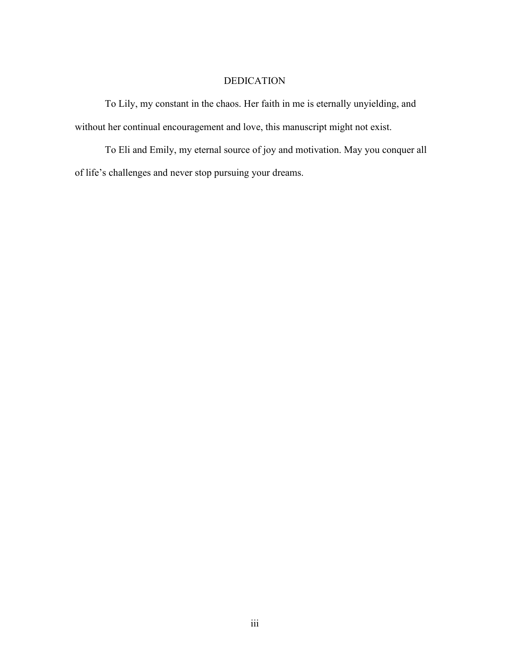### DEDICATION

To Lily, my constant in the chaos. Her faith in me is eternally unyielding, and without her continual encouragement and love, this manuscript might not exist.

To Eli and Emily, my eternal source of joy and motivation. May you conquer all of life's challenges and never stop pursuing your dreams.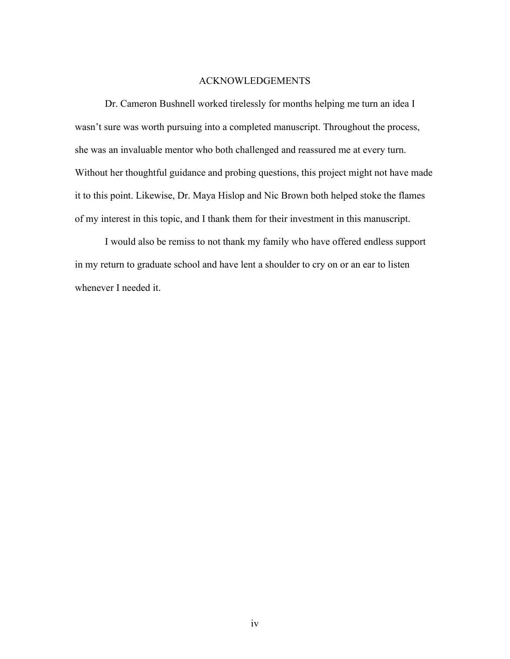#### ACKNOWLEDGEMENTS

Dr. Cameron Bushnell worked tirelessly for months helping me turn an idea I wasn't sure was worth pursuing into a completed manuscript. Throughout the process, she was an invaluable mentor who both challenged and reassured me at every turn. Without her thoughtful guidance and probing questions, this project might not have made it to this point. Likewise, Dr. Maya Hislop and Nic Brown both helped stoke the flames of my interest in this topic, and I thank them for their investment in this manuscript.

I would also be remiss to not thank my family who have offered endless support in my return to graduate school and have lent a shoulder to cry on or an ear to listen whenever I needed it.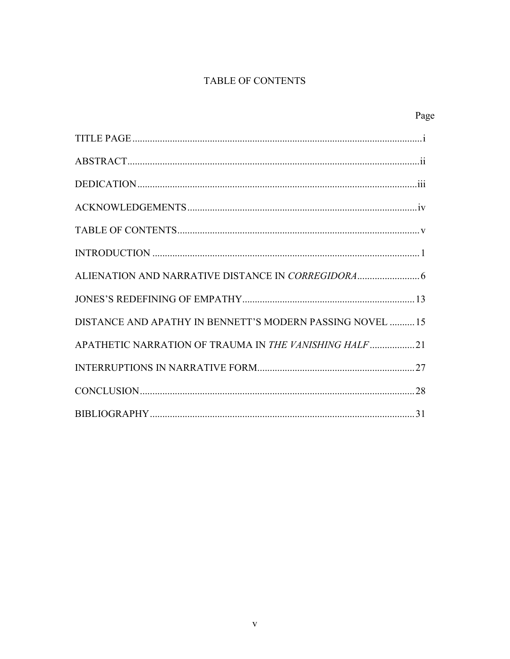## TABLE OF CONTENTS

| Page                                                      |  |
|-----------------------------------------------------------|--|
|                                                           |  |
|                                                           |  |
|                                                           |  |
|                                                           |  |
|                                                           |  |
|                                                           |  |
|                                                           |  |
|                                                           |  |
| DISTANCE AND APATHY IN BENNETT'S MODERN PASSING NOVEL  15 |  |
| APATHETIC NARRATION OF TRAUMA IN THE VANISHING HALF21     |  |
|                                                           |  |
|                                                           |  |
|                                                           |  |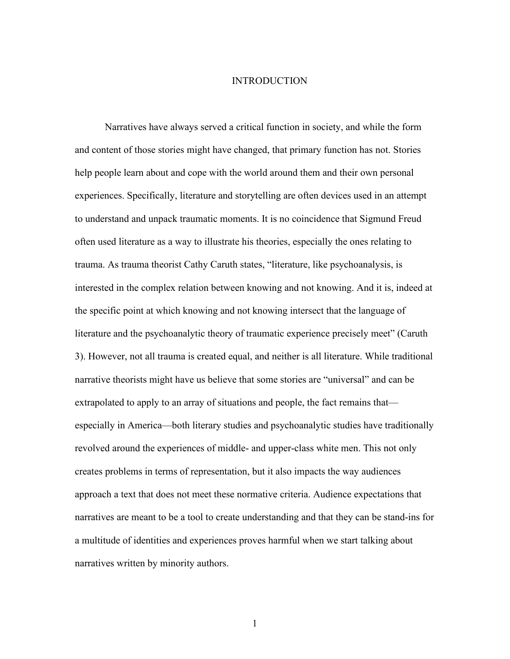#### INTRODUCTION

Narratives have always served a critical function in society, and while the form and content of those stories might have changed, that primary function has not. Stories help people learn about and cope with the world around them and their own personal experiences. Specifically, literature and storytelling are often devices used in an attempt to understand and unpack traumatic moments. It is no coincidence that Sigmund Freud often used literature as a way to illustrate his theories, especially the ones relating to trauma. As trauma theorist Cathy Caruth states, "literature, like psychoanalysis, is interested in the complex relation between knowing and not knowing. And it is, indeed at the specific point at which knowing and not knowing intersect that the language of literature and the psychoanalytic theory of traumatic experience precisely meet" (Caruth 3). However, not all trauma is created equal, and neither is all literature. While traditional narrative theorists might have us believe that some stories are "universal" and can be extrapolated to apply to an array of situations and people, the fact remains that especially in America—both literary studies and psychoanalytic studies have traditionally revolved around the experiences of middle- and upper-class white men. This not only creates problems in terms of representation, but it also impacts the way audiences approach a text that does not meet these normative criteria. Audience expectations that narratives are meant to be a tool to create understanding and that they can be stand-ins for a multitude of identities and experiences proves harmful when we start talking about narratives written by minority authors.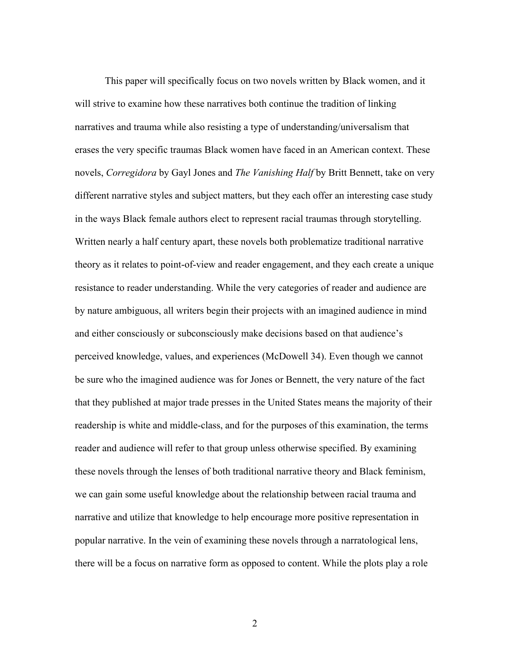This paper will specifically focus on two novels written by Black women, and it will strive to examine how these narratives both continue the tradition of linking narratives and trauma while also resisting a type of understanding/universalism that erases the very specific traumas Black women have faced in an American context. These novels, *Corregidora* by Gayl Jones and *The Vanishing Half* by Britt Bennett, take on very different narrative styles and subject matters, but they each offer an interesting case study in the ways Black female authors elect to represent racial traumas through storytelling. Written nearly a half century apart, these novels both problematize traditional narrative theory as it relates to point-of-view and reader engagement, and they each create a unique resistance to reader understanding. While the very categories of reader and audience are by nature ambiguous, all writers begin their projects with an imagined audience in mind and either consciously or subconsciously make decisions based on that audience's perceived knowledge, values, and experiences (McDowell 34). Even though we cannot be sure who the imagined audience was for Jones or Bennett, the very nature of the fact that they published at major trade presses in the United States means the majority of their readership is white and middle-class, and for the purposes of this examination, the terms reader and audience will refer to that group unless otherwise specified. By examining these novels through the lenses of both traditional narrative theory and Black feminism, we can gain some useful knowledge about the relationship between racial trauma and narrative and utilize that knowledge to help encourage more positive representation in popular narrative. In the vein of examining these novels through a narratological lens, there will be a focus on narrative form as opposed to content. While the plots play a role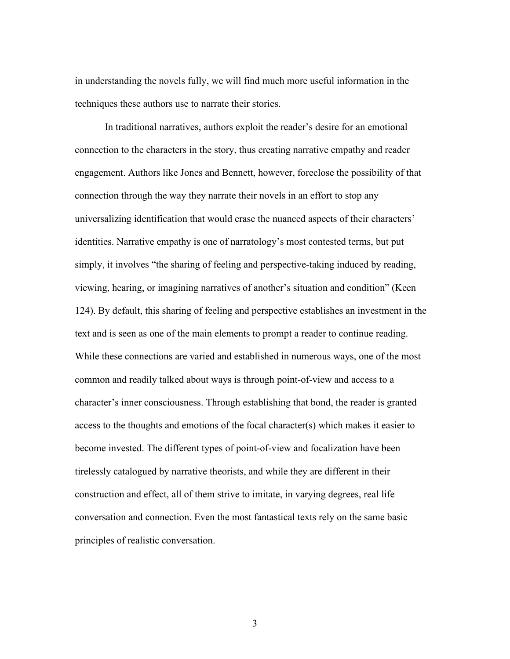in understanding the novels fully, we will find much more useful information in the techniques these authors use to narrate their stories.

In traditional narratives, authors exploit the reader's desire for an emotional connection to the characters in the story, thus creating narrative empathy and reader engagement. Authors like Jones and Bennett, however, foreclose the possibility of that connection through the way they narrate their novels in an effort to stop any universalizing identification that would erase the nuanced aspects of their characters' identities. Narrative empathy is one of narratology's most contested terms, but put simply, it involves "the sharing of feeling and perspective-taking induced by reading, viewing, hearing, or imagining narratives of another's situation and condition" (Keen 124). By default, this sharing of feeling and perspective establishes an investment in the text and is seen as one of the main elements to prompt a reader to continue reading. While these connections are varied and established in numerous ways, one of the most common and readily talked about ways is through point-of-view and access to a character's inner consciousness. Through establishing that bond, the reader is granted access to the thoughts and emotions of the focal character(s) which makes it easier to become invested. The different types of point-of-view and focalization have been tirelessly catalogued by narrative theorists, and while they are different in their construction and effect, all of them strive to imitate, in varying degrees, real life conversation and connection. Even the most fantastical texts rely on the same basic principles of realistic conversation.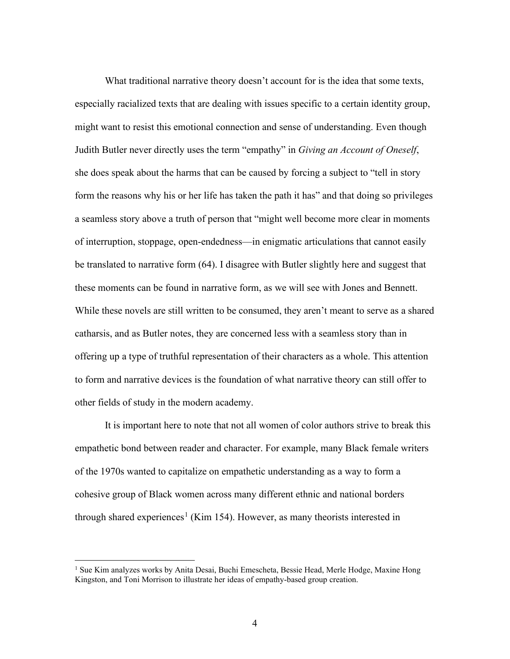What traditional narrative theory doesn't account for is the idea that some texts, especially racialized texts that are dealing with issues specific to a certain identity group, might want to resist this emotional connection and sense of understanding. Even though Judith Butler never directly uses the term "empathy" in *Giving an Account of Oneself*, she does speak about the harms that can be caused by forcing a subject to "tell in story form the reasons why his or her life has taken the path it has" and that doing so privileges a seamless story above a truth of person that "might well become more clear in moments of interruption, stoppage, open-endedness—in enigmatic articulations that cannot easily be translated to narrative form (64). I disagree with Butler slightly here and suggest that these moments can be found in narrative form, as we will see with Jones and Bennett. While these novels are still written to be consumed, they aren't meant to serve as a shared catharsis, and as Butler notes, they are concerned less with a seamless story than in offering up a type of truthful representation of their characters as a whole. This attention to form and narrative devices is the foundation of what narrative theory can still offer to other fields of study in the modern academy.

It is important here to note that not all women of color authors strive to break this empathetic bond between reader and character. For example, many Black female writers of the 1970s wanted to capitalize on empathetic understanding as a way to form a cohesive group of Black women across many different ethnic and national borders through shared experiences<sup>[1](#page-9-0)</sup> (Kim 154). However, as many theorists interested in

<span id="page-9-0"></span><sup>&</sup>lt;sup>1</sup> Sue Kim analyzes works by Anita Desai, Buchi Emescheta, Bessie Head, Merle Hodge, Maxine Hong Kingston, and Toni Morrison to illustrate her ideas of empathy-based group creation.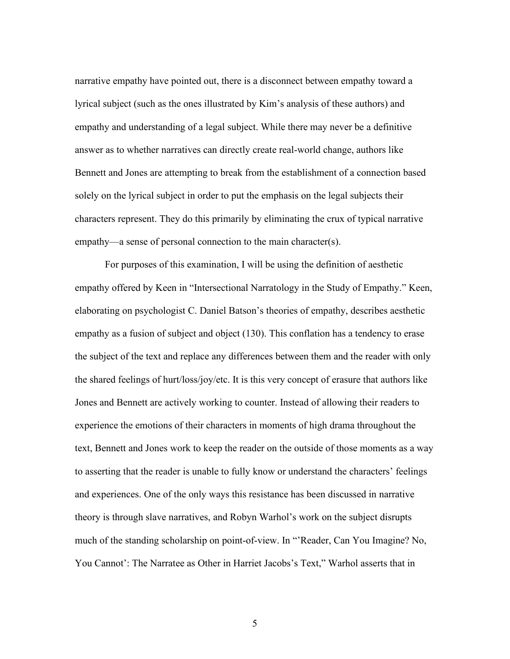narrative empathy have pointed out, there is a disconnect between empathy toward a lyrical subject (such as the ones illustrated by Kim's analysis of these authors) and empathy and understanding of a legal subject. While there may never be a definitive answer as to whether narratives can directly create real-world change, authors like Bennett and Jones are attempting to break from the establishment of a connection based solely on the lyrical subject in order to put the emphasis on the legal subjects their characters represent. They do this primarily by eliminating the crux of typical narrative empathy—a sense of personal connection to the main character(s).

For purposes of this examination, I will be using the definition of aesthetic empathy offered by Keen in "Intersectional Narratology in the Study of Empathy." Keen, elaborating on psychologist C. Daniel Batson's theories of empathy, describes aesthetic empathy as a fusion of subject and object (130). This conflation has a tendency to erase the subject of the text and replace any differences between them and the reader with only the shared feelings of hurt/loss/joy/etc. It is this very concept of erasure that authors like Jones and Bennett are actively working to counter. Instead of allowing their readers to experience the emotions of their characters in moments of high drama throughout the text, Bennett and Jones work to keep the reader on the outside of those moments as a way to asserting that the reader is unable to fully know or understand the characters' feelings and experiences. One of the only ways this resistance has been discussed in narrative theory is through slave narratives, and Robyn Warhol's work on the subject disrupts much of the standing scholarship on point-of-view. In "'Reader, Can You Imagine? No, You Cannot': The Narratee as Other in Harriet Jacobs's Text," Warhol asserts that in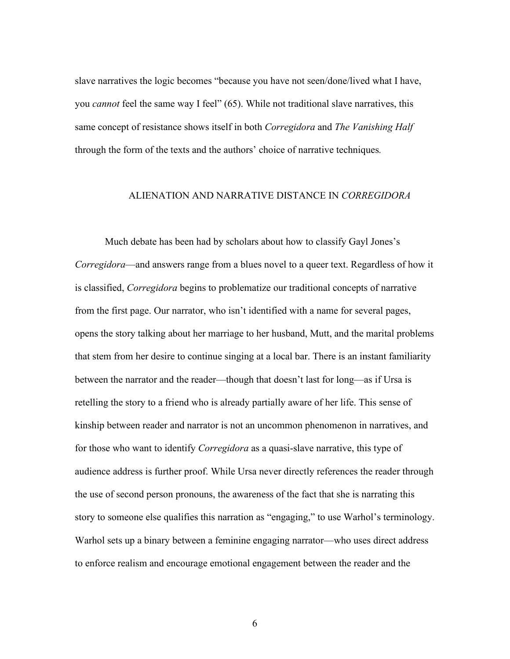slave narratives the logic becomes "because you have not seen/done/lived what I have, you *cannot* feel the same way I feel" (65). While not traditional slave narratives, this same concept of resistance shows itself in both *Corregidora* and *The Vanishing Half* through the form of the texts and the authors' choice of narrative techniques*.*

#### ALIENATION AND NARRATIVE DISTANCE IN *CORREGIDORA*

Much debate has been had by scholars about how to classify Gayl Jones's *Corregidora*—and answers range from a blues novel to a queer text. Regardless of how it is classified, *Corregidora* begins to problematize our traditional concepts of narrative from the first page. Our narrator, who isn't identified with a name for several pages, opens the story talking about her marriage to her husband, Mutt, and the marital problems that stem from her desire to continue singing at a local bar. There is an instant familiarity between the narrator and the reader—though that doesn't last for long—as if Ursa is retelling the story to a friend who is already partially aware of her life. This sense of kinship between reader and narrator is not an uncommon phenomenon in narratives, and for those who want to identify *Corregidora* as a quasi-slave narrative, this type of audience address is further proof. While Ursa never directly references the reader through the use of second person pronouns, the awareness of the fact that she is narrating this story to someone else qualifies this narration as "engaging," to use Warhol's terminology. Warhol sets up a binary between a feminine engaging narrator—who uses direct address to enforce realism and encourage emotional engagement between the reader and the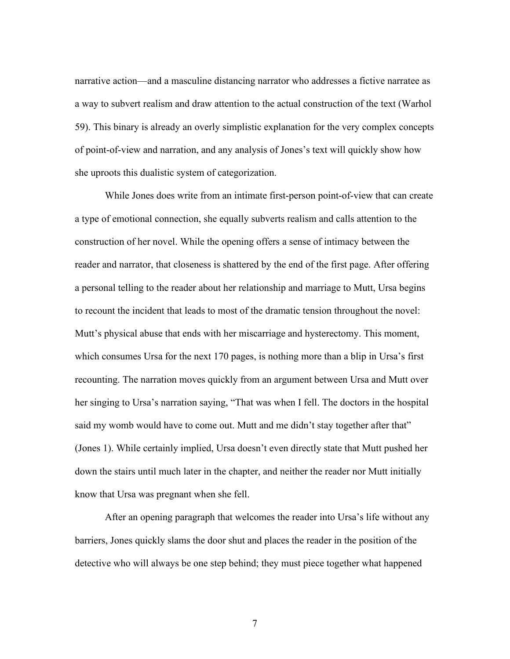narrative action—and a masculine distancing narrator who addresses a fictive narratee as a way to subvert realism and draw attention to the actual construction of the text (Warhol 59). This binary is already an overly simplistic explanation for the very complex concepts of point-of-view and narration, and any analysis of Jones's text will quickly show how she uproots this dualistic system of categorization.

While Jones does write from an intimate first-person point-of-view that can create a type of emotional connection, she equally subverts realism and calls attention to the construction of her novel. While the opening offers a sense of intimacy between the reader and narrator, that closeness is shattered by the end of the first page. After offering a personal telling to the reader about her relationship and marriage to Mutt, Ursa begins to recount the incident that leads to most of the dramatic tension throughout the novel: Mutt's physical abuse that ends with her miscarriage and hysterectomy. This moment, which consumes Ursa for the next 170 pages, is nothing more than a blip in Ursa's first recounting. The narration moves quickly from an argument between Ursa and Mutt over her singing to Ursa's narration saying, "That was when I fell. The doctors in the hospital said my womb would have to come out. Mutt and me didn't stay together after that" (Jones 1). While certainly implied, Ursa doesn't even directly state that Mutt pushed her down the stairs until much later in the chapter, and neither the reader nor Mutt initially know that Ursa was pregnant when she fell.

After an opening paragraph that welcomes the reader into Ursa's life without any barriers, Jones quickly slams the door shut and places the reader in the position of the detective who will always be one step behind; they must piece together what happened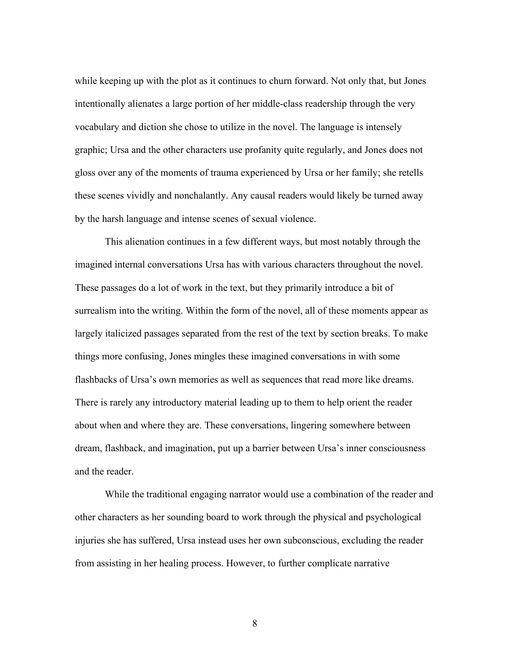while keeping up with the plot as it continues to churn forward. Not only that, but Jones intentionally alienates a large portion of her middle-class readership through the very vocabulary and diction she chose to utilize in the novel. The language is intensely graphic; Ursa and the other characters use profanity quite regularly, and Jones does not gloss over any of the moments of trauma experienced by Ursa or her family; she retells these scenes vividly and nonchalantly. Any causal readers would likely be turned away by the harsh language and intense scenes of sexual violence.

This alienation continues in a few different ways, but most notably through the imagined internal conversations Ursa has with various characters throughout the novel. These passages do a lot of work in the text, but they primarily introduce a bit of surrealism into the writing. Within the form of the novel, all of these moments appear as largely italicized passages separated from the rest of the text by section breaks. To make things more confusing, Jones mingles these imagined conversations in with some flashbacks of Ursa's own memories as well as sequences that read more like dreams. There is rarely any introductory material leading up to them to help orient the reader about when and where they are. These conversations, lingering somewhere between dream, flashback, and imagination, put up a barrier between Ursa's inner consciousness and the reader.

While the traditional engaging narrator would use a combination of the reader and other characters as her sounding board to work through the physical and psychological injuries she has suffered, Ursa instead uses her own subconscious, excluding the reader from assisting in her healing process. However, to further complicate narrative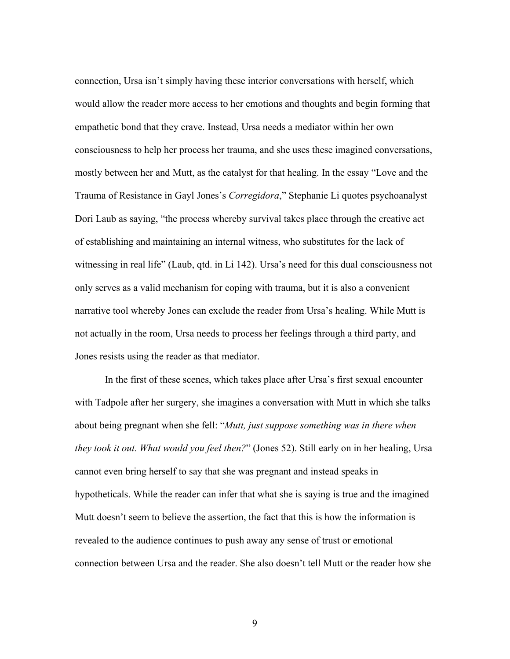connection, Ursa isn't simply having these interior conversations with herself, which would allow the reader more access to her emotions and thoughts and begin forming that empathetic bond that they crave. Instead, Ursa needs a mediator within her own consciousness to help her process her trauma, and she uses these imagined conversations, mostly between her and Mutt, as the catalyst for that healing. In the essay "Love and the Trauma of Resistance in Gayl Jones's *Corregidora*," Stephanie Li quotes psychoanalyst Dori Laub as saying, "the process whereby survival takes place through the creative act of establishing and maintaining an internal witness, who substitutes for the lack of witnessing in real life" (Laub, qtd. in Li 142). Ursa's need for this dual consciousness not only serves as a valid mechanism for coping with trauma, but it is also a convenient narrative tool whereby Jones can exclude the reader from Ursa's healing. While Mutt is not actually in the room, Ursa needs to process her feelings through a third party, and Jones resists using the reader as that mediator.

In the first of these scenes, which takes place after Ursa's first sexual encounter with Tadpole after her surgery, she imagines a conversation with Mutt in which she talks about being pregnant when she fell: "*Mutt, just suppose something was in there when they took it out. What would you feel then?*" (Jones 52). Still early on in her healing, Ursa cannot even bring herself to say that she was pregnant and instead speaks in hypotheticals. While the reader can infer that what she is saying is true and the imagined Mutt doesn't seem to believe the assertion, the fact that this is how the information is revealed to the audience continues to push away any sense of trust or emotional connection between Ursa and the reader. She also doesn't tell Mutt or the reader how she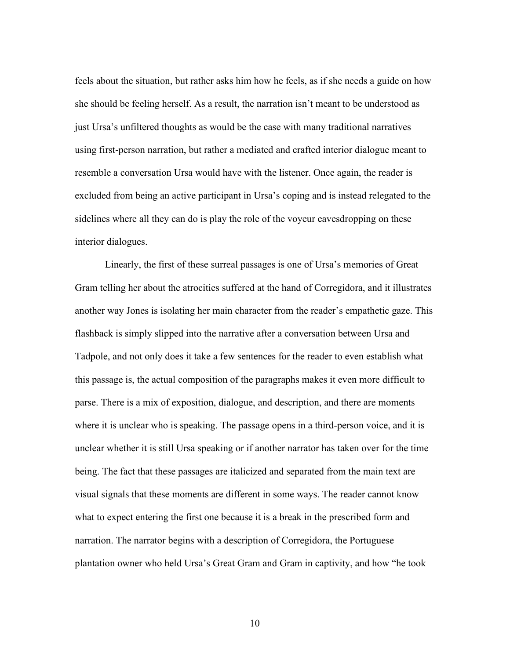feels about the situation, but rather asks him how he feels, as if she needs a guide on how she should be feeling herself. As a result, the narration isn't meant to be understood as just Ursa's unfiltered thoughts as would be the case with many traditional narratives using first-person narration, but rather a mediated and crafted interior dialogue meant to resemble a conversation Ursa would have with the listener. Once again, the reader is excluded from being an active participant in Ursa's coping and is instead relegated to the sidelines where all they can do is play the role of the voyeur eavesdropping on these interior dialogues.

Linearly, the first of these surreal passages is one of Ursa's memories of Great Gram telling her about the atrocities suffered at the hand of Corregidora, and it illustrates another way Jones is isolating her main character from the reader's empathetic gaze. This flashback is simply slipped into the narrative after a conversation between Ursa and Tadpole, and not only does it take a few sentences for the reader to even establish what this passage is, the actual composition of the paragraphs makes it even more difficult to parse. There is a mix of exposition, dialogue, and description, and there are moments where it is unclear who is speaking. The passage opens in a third-person voice, and it is unclear whether it is still Ursa speaking or if another narrator has taken over for the time being. The fact that these passages are italicized and separated from the main text are visual signals that these moments are different in some ways. The reader cannot know what to expect entering the first one because it is a break in the prescribed form and narration. The narrator begins with a description of Corregidora, the Portuguese plantation owner who held Ursa's Great Gram and Gram in captivity, and how "he took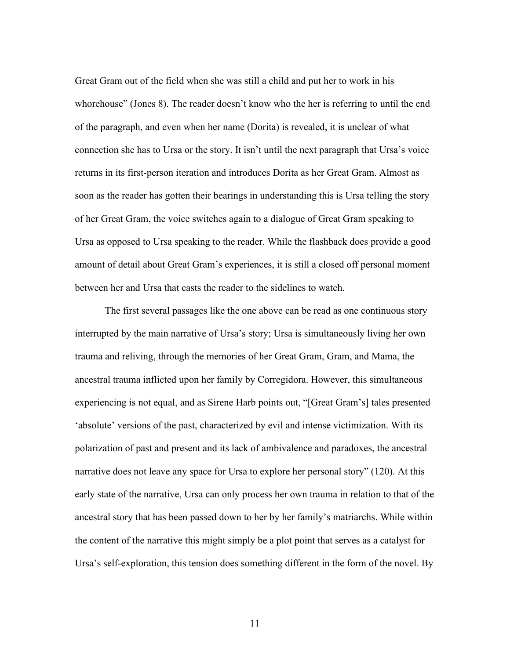Great Gram out of the field when she was still a child and put her to work in his whorehouse" (Jones 8). The reader doesn't know who the her is referring to until the end of the paragraph, and even when her name (Dorita) is revealed, it is unclear of what connection she has to Ursa or the story. It isn't until the next paragraph that Ursa's voice returns in its first-person iteration and introduces Dorita as her Great Gram. Almost as soon as the reader has gotten their bearings in understanding this is Ursa telling the story of her Great Gram, the voice switches again to a dialogue of Great Gram speaking to Ursa as opposed to Ursa speaking to the reader. While the flashback does provide a good amount of detail about Great Gram's experiences, it is still a closed off personal moment between her and Ursa that casts the reader to the sidelines to watch.

The first several passages like the one above can be read as one continuous story interrupted by the main narrative of Ursa's story; Ursa is simultaneously living her own trauma and reliving, through the memories of her Great Gram, Gram, and Mama, the ancestral trauma inflicted upon her family by Corregidora. However, this simultaneous experiencing is not equal, and as Sirene Harb points out, "[Great Gram's] tales presented 'absolute' versions of the past, characterized by evil and intense victimization. With its polarization of past and present and its lack of ambivalence and paradoxes, the ancestral narrative does not leave any space for Ursa to explore her personal story" (120). At this early state of the narrative, Ursa can only process her own trauma in relation to that of the ancestral story that has been passed down to her by her family's matriarchs. While within the content of the narrative this might simply be a plot point that serves as a catalyst for Ursa's self-exploration, this tension does something different in the form of the novel. By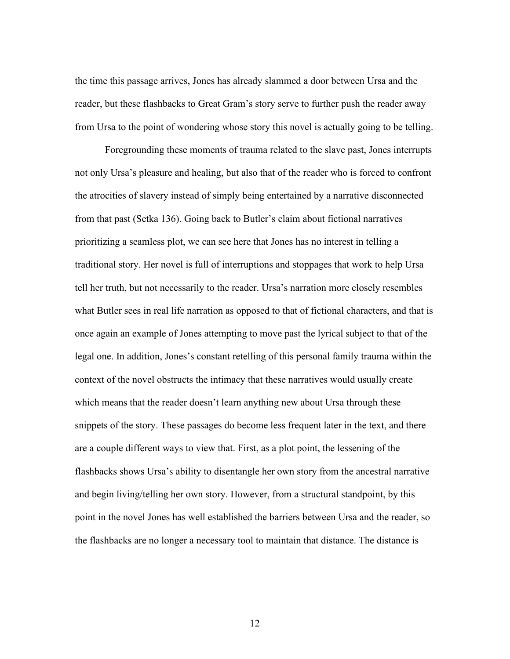the time this passage arrives, Jones has already slammed a door between Ursa and the reader, but these flashbacks to Great Gram's story serve to further push the reader away from Ursa to the point of wondering whose story this novel is actually going to be telling.

Foregrounding these moments of trauma related to the slave past, Jones interrupts not only Ursa's pleasure and healing, but also that of the reader who is forced to confront the atrocities of slavery instead of simply being entertained by a narrative disconnected from that past (Setka 136). Going back to Butler's claim about fictional narratives prioritizing a seamless plot, we can see here that Jones has no interest in telling a traditional story. Her novel is full of interruptions and stoppages that work to help Ursa tell her truth, but not necessarily to the reader. Ursa's narration more closely resembles what Butler sees in real life narration as opposed to that of fictional characters, and that is once again an example of Jones attempting to move past the lyrical subject to that of the legal one. In addition, Jones's constant retelling of this personal family trauma within the context of the novel obstructs the intimacy that these narratives would usually create which means that the reader doesn't learn anything new about Ursa through these snippets of the story. These passages do become less frequent later in the text, and there are a couple different ways to view that. First, as a plot point, the lessening of the flashbacks shows Ursa's ability to disentangle her own story from the ancestral narrative and begin living/telling her own story. However, from a structural standpoint, by this point in the novel Jones has well established the barriers between Ursa and the reader, so the flashbacks are no longer a necessary tool to maintain that distance. The distance is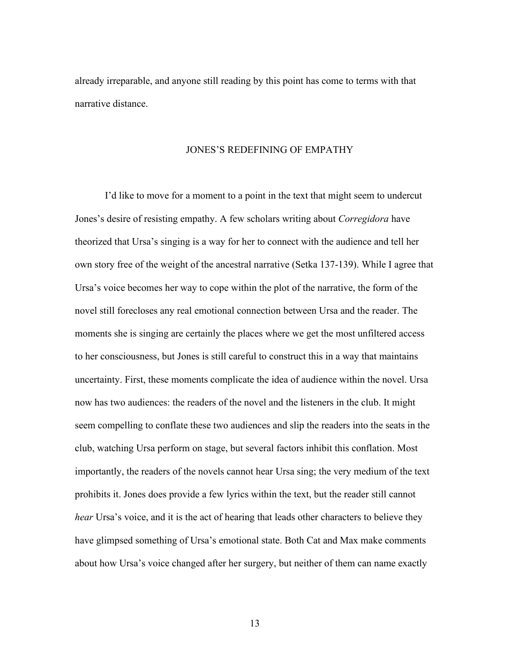already irreparable, and anyone still reading by this point has come to terms with that narrative distance.

#### JONES'S REDEFINING OF EMPATHY

I'd like to move for a moment to a point in the text that might seem to undercut Jones's desire of resisting empathy. A few scholars writing about *Corregidora* have theorized that Ursa's singing is a way for her to connect with the audience and tell her own story free of the weight of the ancestral narrative (Setka 137-139). While I agree that Ursa's voice becomes her way to cope within the plot of the narrative, the form of the novel still forecloses any real emotional connection between Ursa and the reader. The moments she is singing are certainly the places where we get the most unfiltered access to her consciousness, but Jones is still careful to construct this in a way that maintains uncertainty. First, these moments complicate the idea of audience within the novel. Ursa now has two audiences: the readers of the novel and the listeners in the club. It might seem compelling to conflate these two audiences and slip the readers into the seats in the club, watching Ursa perform on stage, but several factors inhibit this conflation. Most importantly, the readers of the novels cannot hear Ursa sing; the very medium of the text prohibits it. Jones does provide a few lyrics within the text, but the reader still cannot *hear* Ursa's voice, and it is the act of hearing that leads other characters to believe they have glimpsed something of Ursa's emotional state. Both Cat and Max make comments about how Ursa's voice changed after her surgery, but neither of them can name exactly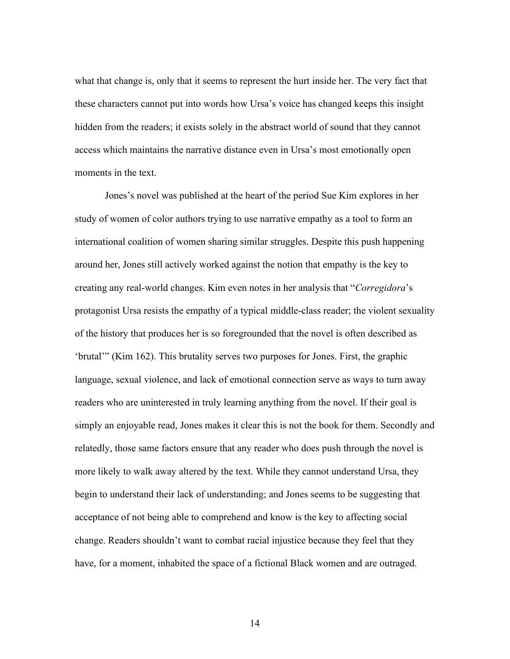what that change is, only that it seems to represent the hurt inside her. The very fact that these characters cannot put into words how Ursa's voice has changed keeps this insight hidden from the readers; it exists solely in the abstract world of sound that they cannot access which maintains the narrative distance even in Ursa's most emotionally open moments in the text.

Jones's novel was published at the heart of the period Sue Kim explores in her study of women of color authors trying to use narrative empathy as a tool to form an international coalition of women sharing similar struggles. Despite this push happening around her, Jones still actively worked against the notion that empathy is the key to creating any real-world changes. Kim even notes in her analysis that "*Corregidora*'s protagonist Ursa resists the empathy of a typical middle-class reader; the violent sexuality of the history that produces her is so foregrounded that the novel is often described as 'brutal'" (Kim 162). This brutality serves two purposes for Jones. First, the graphic language, sexual violence, and lack of emotional connection serve as ways to turn away readers who are uninterested in truly learning anything from the novel. If their goal is simply an enjoyable read, Jones makes it clear this is not the book for them. Secondly and relatedly, those same factors ensure that any reader who does push through the novel is more likely to walk away altered by the text. While they cannot understand Ursa, they begin to understand their lack of understanding; and Jones seems to be suggesting that acceptance of not being able to comprehend and know is the key to affecting social change. Readers shouldn't want to combat racial injustice because they feel that they have, for a moment, inhabited the space of a fictional Black women and are outraged.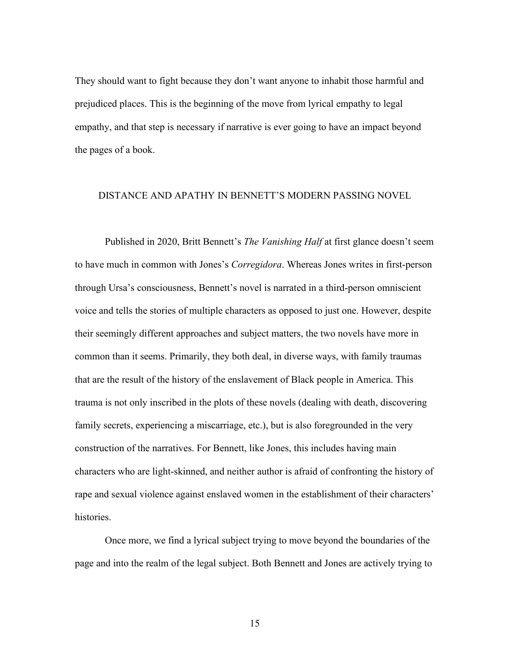They should want to fight because they don't want anyone to inhabit those harmful and prejudiced places. This is the beginning of the move from lyrical empathy to legal empathy, and that step is necessary if narrative is ever going to have an impact beyond the pages of a book.

#### DISTANCE AND APATHY IN BENNETT'S MODERN PASSING NOVEL

Published in 2020, Britt Bennett's *The Vanishing Half* at first glance doesn't seem to have much in common with Jones's *Corregidora*. Whereas Jones writes in first-person through Ursa's consciousness, Bennett's novel is narrated in a third-person omniscient voice and tells the stories of multiple characters as opposed to just one. However, despite their seemingly different approaches and subject matters, the two novels have more in common than it seems. Primarily, they both deal, in diverse ways, with family traumas that are the result of the history of the enslavement of Black people in America. This trauma is not only inscribed in the plots of these novels (dealing with death, discovering family secrets, experiencing a miscarriage, etc.), but is also foregrounded in the very construction of the narratives. For Bennett, like Jones, this includes having main characters who are light-skinned, and neither author is afraid of confronting the history of rape and sexual violence against enslaved women in the establishment of their characters' histories.

Once more, we find a lyrical subject trying to move beyond the boundaries of the page and into the realm of the legal subject. Both Bennett and Jones are actively trying to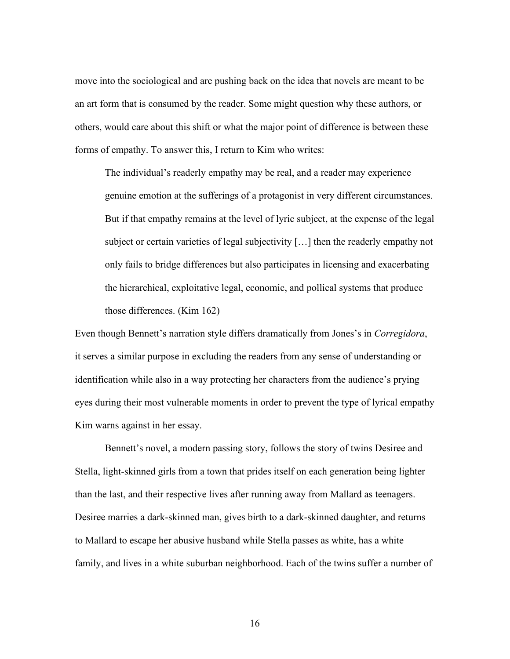move into the sociological and are pushing back on the idea that novels are meant to be an art form that is consumed by the reader. Some might question why these authors, or others, would care about this shift or what the major point of difference is between these forms of empathy. To answer this, I return to Kim who writes:

The individual's readerly empathy may be real, and a reader may experience genuine emotion at the sufferings of a protagonist in very different circumstances. But if that empathy remains at the level of lyric subject, at the expense of the legal subject or certain varieties of legal subjectivity […] then the readerly empathy not only fails to bridge differences but also participates in licensing and exacerbating the hierarchical, exploitative legal, economic, and pollical systems that produce those differences. (Kim 162)

Even though Bennett's narration style differs dramatically from Jones's in *Corregidora*, it serves a similar purpose in excluding the readers from any sense of understanding or identification while also in a way protecting her characters from the audience's prying eyes during their most vulnerable moments in order to prevent the type of lyrical empathy Kim warns against in her essay.

Bennett's novel, a modern passing story, follows the story of twins Desiree and Stella, light-skinned girls from a town that prides itself on each generation being lighter than the last, and their respective lives after running away from Mallard as teenagers. Desiree marries a dark-skinned man, gives birth to a dark-skinned daughter, and returns to Mallard to escape her abusive husband while Stella passes as white, has a white family, and lives in a white suburban neighborhood. Each of the twins suffer a number of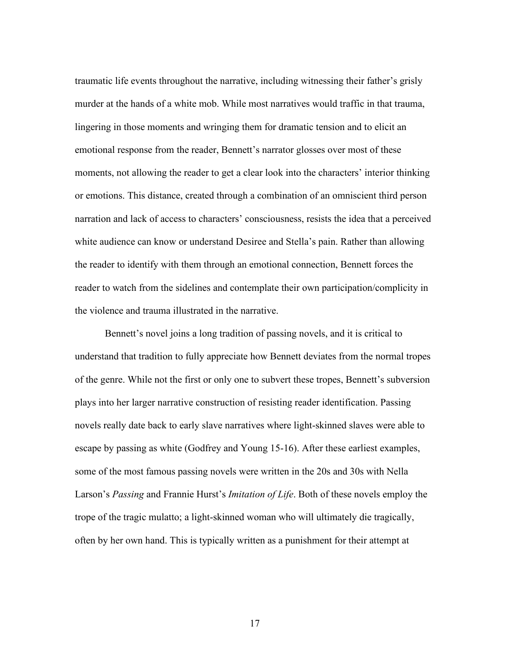traumatic life events throughout the narrative, including witnessing their father's grisly murder at the hands of a white mob. While most narratives would traffic in that trauma, lingering in those moments and wringing them for dramatic tension and to elicit an emotional response from the reader, Bennett's narrator glosses over most of these moments, not allowing the reader to get a clear look into the characters' interior thinking or emotions. This distance, created through a combination of an omniscient third person narration and lack of access to characters' consciousness, resists the idea that a perceived white audience can know or understand Desiree and Stella's pain. Rather than allowing the reader to identify with them through an emotional connection, Bennett forces the reader to watch from the sidelines and contemplate their own participation/complicity in the violence and trauma illustrated in the narrative.

Bennett's novel joins a long tradition of passing novels, and it is critical to understand that tradition to fully appreciate how Bennett deviates from the normal tropes of the genre. While not the first or only one to subvert these tropes, Bennett's subversion plays into her larger narrative construction of resisting reader identification. Passing novels really date back to early slave narratives where light-skinned slaves were able to escape by passing as white (Godfrey and Young 15-16). After these earliest examples, some of the most famous passing novels were written in the 20s and 30s with Nella Larson's *Passing* and Frannie Hurst's *Imitation of Life*. Both of these novels employ the trope of the tragic mulatto; a light-skinned woman who will ultimately die tragically, often by her own hand. This is typically written as a punishment for their attempt at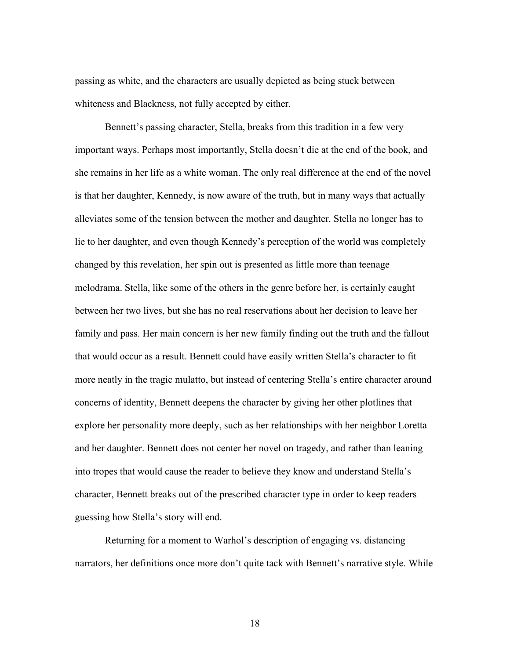passing as white, and the characters are usually depicted as being stuck between whiteness and Blackness, not fully accepted by either.

Bennett's passing character, Stella, breaks from this tradition in a few very important ways. Perhaps most importantly, Stella doesn't die at the end of the book, and she remains in her life as a white woman. The only real difference at the end of the novel is that her daughter, Kennedy, is now aware of the truth, but in many ways that actually alleviates some of the tension between the mother and daughter. Stella no longer has to lie to her daughter, and even though Kennedy's perception of the world was completely changed by this revelation, her spin out is presented as little more than teenage melodrama. Stella, like some of the others in the genre before her, is certainly caught between her two lives, but she has no real reservations about her decision to leave her family and pass. Her main concern is her new family finding out the truth and the fallout that would occur as a result. Bennett could have easily written Stella's character to fit more neatly in the tragic mulatto, but instead of centering Stella's entire character around concerns of identity, Bennett deepens the character by giving her other plotlines that explore her personality more deeply, such as her relationships with her neighbor Loretta and her daughter. Bennett does not center her novel on tragedy, and rather than leaning into tropes that would cause the reader to believe they know and understand Stella's character, Bennett breaks out of the prescribed character type in order to keep readers guessing how Stella's story will end.

Returning for a moment to Warhol's description of engaging vs. distancing narrators, her definitions once more don't quite tack with Bennett's narrative style. While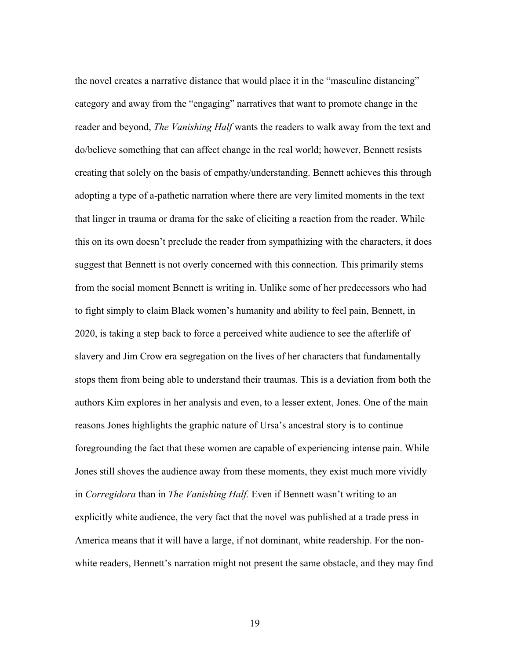the novel creates a narrative distance that would place it in the "masculine distancing" category and away from the "engaging" narratives that want to promote change in the reader and beyond, *The Vanishing Half* wants the readers to walk away from the text and do/believe something that can affect change in the real world; however, Bennett resists creating that solely on the basis of empathy/understanding. Bennett achieves this through adopting a type of a-pathetic narration where there are very limited moments in the text that linger in trauma or drama for the sake of eliciting a reaction from the reader. While this on its own doesn't preclude the reader from sympathizing with the characters, it does suggest that Bennett is not overly concerned with this connection. This primarily stems from the social moment Bennett is writing in. Unlike some of her predecessors who had to fight simply to claim Black women's humanity and ability to feel pain, Bennett, in 2020, is taking a step back to force a perceived white audience to see the afterlife of slavery and Jim Crow era segregation on the lives of her characters that fundamentally stops them from being able to understand their traumas. This is a deviation from both the authors Kim explores in her analysis and even, to a lesser extent, Jones. One of the main reasons Jones highlights the graphic nature of Ursa's ancestral story is to continue foregrounding the fact that these women are capable of experiencing intense pain. While Jones still shoves the audience away from these moments, they exist much more vividly in *Corregidora* than in *The Vanishing Half.* Even if Bennett wasn't writing to an explicitly white audience, the very fact that the novel was published at a trade press in America means that it will have a large, if not dominant, white readership. For the nonwhite readers, Bennett's narration might not present the same obstacle, and they may find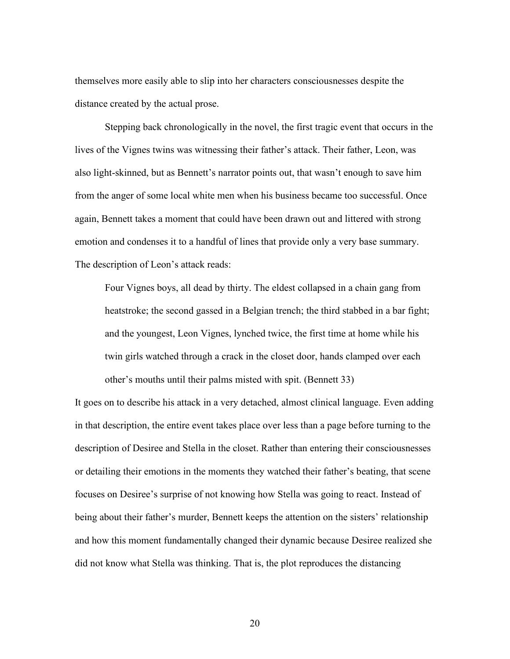themselves more easily able to slip into her characters consciousnesses despite the distance created by the actual prose.

Stepping back chronologically in the novel, the first tragic event that occurs in the lives of the Vignes twins was witnessing their father's attack. Their father, Leon, was also light-skinned, but as Bennett's narrator points out, that wasn't enough to save him from the anger of some local white men when his business became too successful. Once again, Bennett takes a moment that could have been drawn out and littered with strong emotion and condenses it to a handful of lines that provide only a very base summary. The description of Leon's attack reads:

Four Vignes boys, all dead by thirty. The eldest collapsed in a chain gang from heatstroke; the second gassed in a Belgian trench; the third stabbed in a bar fight; and the youngest, Leon Vignes, lynched twice, the first time at home while his twin girls watched through a crack in the closet door, hands clamped over each other's mouths until their palms misted with spit. (Bennett 33)

It goes on to describe his attack in a very detached, almost clinical language. Even adding in that description, the entire event takes place over less than a page before turning to the description of Desiree and Stella in the closet. Rather than entering their consciousnesses or detailing their emotions in the moments they watched their father's beating, that scene focuses on Desiree's surprise of not knowing how Stella was going to react. Instead of being about their father's murder, Bennett keeps the attention on the sisters' relationship and how this moment fundamentally changed their dynamic because Desiree realized she did not know what Stella was thinking. That is, the plot reproduces the distancing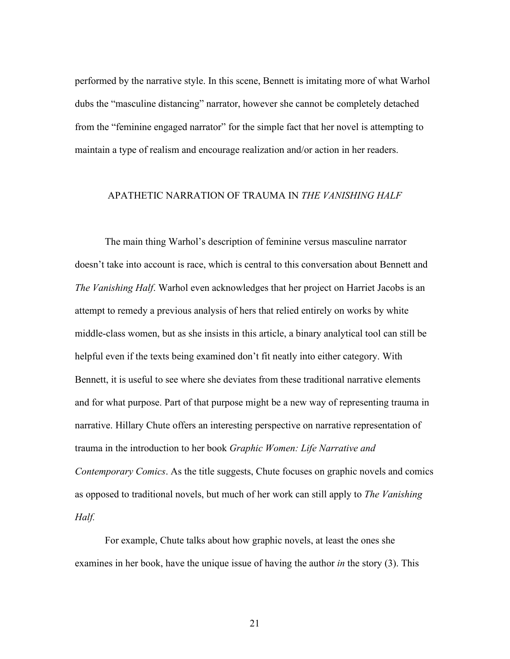performed by the narrative style. In this scene, Bennett is imitating more of what Warhol dubs the "masculine distancing" narrator, however she cannot be completely detached from the "feminine engaged narrator" for the simple fact that her novel is attempting to maintain a type of realism and encourage realization and/or action in her readers.

#### APATHETIC NARRATION OF TRAUMA IN *THE VANISHING HALF*

The main thing Warhol's description of feminine versus masculine narrator doesn't take into account is race, which is central to this conversation about Bennett and *The Vanishing Half*. Warhol even acknowledges that her project on Harriet Jacobs is an attempt to remedy a previous analysis of hers that relied entirely on works by white middle-class women, but as she insists in this article, a binary analytical tool can still be helpful even if the texts being examined don't fit neatly into either category. With Bennett, it is useful to see where she deviates from these traditional narrative elements and for what purpose. Part of that purpose might be a new way of representing trauma in narrative. Hillary Chute offers an interesting perspective on narrative representation of trauma in the introduction to her book *Graphic Women: Life Narrative and Contemporary Comics*. As the title suggests, Chute focuses on graphic novels and comics as opposed to traditional novels, but much of her work can still apply to *The Vanishing Half.*

For example, Chute talks about how graphic novels, at least the ones she examines in her book, have the unique issue of having the author *in* the story (3). This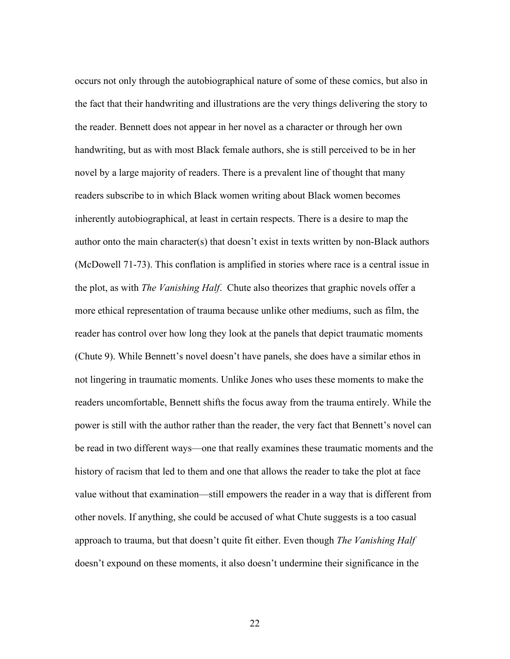occurs not only through the autobiographical nature of some of these comics, but also in the fact that their handwriting and illustrations are the very things delivering the story to the reader. Bennett does not appear in her novel as a character or through her own handwriting, but as with most Black female authors, she is still perceived to be in her novel by a large majority of readers. There is a prevalent line of thought that many readers subscribe to in which Black women writing about Black women becomes inherently autobiographical, at least in certain respects. There is a desire to map the author onto the main character(s) that doesn't exist in texts written by non-Black authors (McDowell 71-73). This conflation is amplified in stories where race is a central issue in the plot, as with *The Vanishing Half*. Chute also theorizes that graphic novels offer a more ethical representation of trauma because unlike other mediums, such as film, the reader has control over how long they look at the panels that depict traumatic moments (Chute 9). While Bennett's novel doesn't have panels, she does have a similar ethos in not lingering in traumatic moments. Unlike Jones who uses these moments to make the readers uncomfortable, Bennett shifts the focus away from the trauma entirely. While the power is still with the author rather than the reader, the very fact that Bennett's novel can be read in two different ways—one that really examines these traumatic moments and the history of racism that led to them and one that allows the reader to take the plot at face value without that examination—still empowers the reader in a way that is different from other novels. If anything, she could be accused of what Chute suggests is a too casual approach to trauma, but that doesn't quite fit either. Even though *The Vanishing Half* doesn't expound on these moments, it also doesn't undermine their significance in the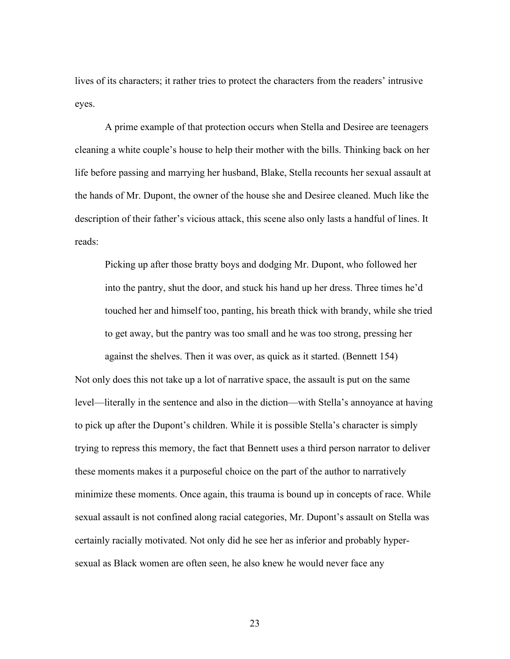lives of its characters; it rather tries to protect the characters from the readers' intrusive eyes.

A prime example of that protection occurs when Stella and Desiree are teenagers cleaning a white couple's house to help their mother with the bills. Thinking back on her life before passing and marrying her husband, Blake, Stella recounts her sexual assault at the hands of Mr. Dupont, the owner of the house she and Desiree cleaned. Much like the description of their father's vicious attack, this scene also only lasts a handful of lines. It reads:

Picking up after those bratty boys and dodging Mr. Dupont, who followed her into the pantry, shut the door, and stuck his hand up her dress. Three times he'd touched her and himself too, panting, his breath thick with brandy, while she tried to get away, but the pantry was too small and he was too strong, pressing her against the shelves. Then it was over, as quick as it started. (Bennett 154)

Not only does this not take up a lot of narrative space, the assault is put on the same level—literally in the sentence and also in the diction—with Stella's annoyance at having to pick up after the Dupont's children. While it is possible Stella's character is simply trying to repress this memory, the fact that Bennett uses a third person narrator to deliver these moments makes it a purposeful choice on the part of the author to narratively minimize these moments. Once again, this trauma is bound up in concepts of race. While sexual assault is not confined along racial categories, Mr. Dupont's assault on Stella was certainly racially motivated. Not only did he see her as inferior and probably hypersexual as Black women are often seen, he also knew he would never face any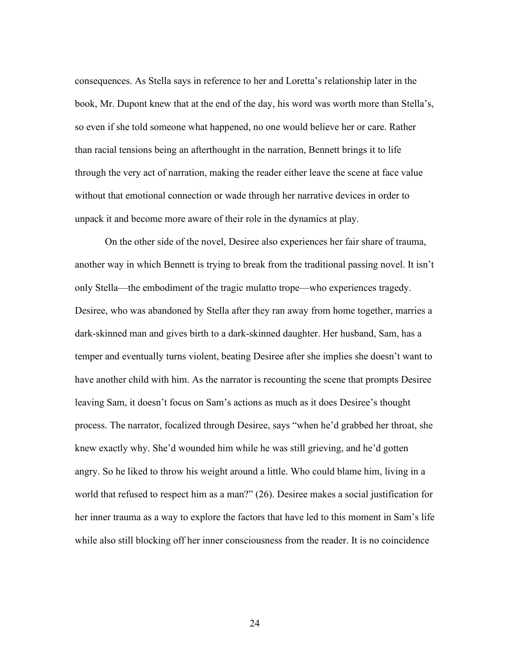consequences. As Stella says in reference to her and Loretta's relationship later in the book, Mr. Dupont knew that at the end of the day, his word was worth more than Stella's, so even if she told someone what happened, no one would believe her or care. Rather than racial tensions being an afterthought in the narration, Bennett brings it to life through the very act of narration, making the reader either leave the scene at face value without that emotional connection or wade through her narrative devices in order to unpack it and become more aware of their role in the dynamics at play.

On the other side of the novel, Desiree also experiences her fair share of trauma, another way in which Bennett is trying to break from the traditional passing novel. It isn't only Stella—the embodiment of the tragic mulatto trope—who experiences tragedy. Desiree, who was abandoned by Stella after they ran away from home together, marries a dark-skinned man and gives birth to a dark-skinned daughter. Her husband, Sam, has a temper and eventually turns violent, beating Desiree after she implies she doesn't want to have another child with him. As the narrator is recounting the scene that prompts Desiree leaving Sam, it doesn't focus on Sam's actions as much as it does Desiree's thought process. The narrator, focalized through Desiree, says "when he'd grabbed her throat, she knew exactly why. She'd wounded him while he was still grieving, and he'd gotten angry. So he liked to throw his weight around a little. Who could blame him, living in a world that refused to respect him as a man?" (26). Desiree makes a social justification for her inner trauma as a way to explore the factors that have led to this moment in Sam's life while also still blocking off her inner consciousness from the reader. It is no coincidence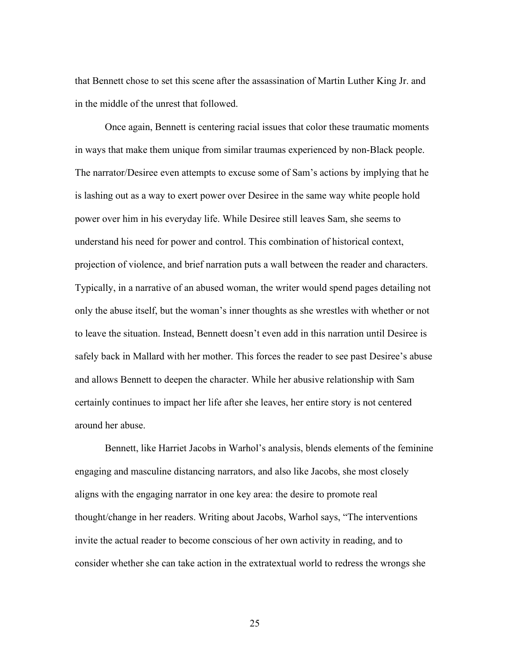that Bennett chose to set this scene after the assassination of Martin Luther King Jr. and in the middle of the unrest that followed.

Once again, Bennett is centering racial issues that color these traumatic moments in ways that make them unique from similar traumas experienced by non-Black people. The narrator/Desiree even attempts to excuse some of Sam's actions by implying that he is lashing out as a way to exert power over Desiree in the same way white people hold power over him in his everyday life. While Desiree still leaves Sam, she seems to understand his need for power and control. This combination of historical context, projection of violence, and brief narration puts a wall between the reader and characters. Typically, in a narrative of an abused woman, the writer would spend pages detailing not only the abuse itself, but the woman's inner thoughts as she wrestles with whether or not to leave the situation. Instead, Bennett doesn't even add in this narration until Desiree is safely back in Mallard with her mother. This forces the reader to see past Desiree's abuse and allows Bennett to deepen the character. While her abusive relationship with Sam certainly continues to impact her life after she leaves, her entire story is not centered around her abuse.

Bennett, like Harriet Jacobs in Warhol's analysis, blends elements of the feminine engaging and masculine distancing narrators, and also like Jacobs, she most closely aligns with the engaging narrator in one key area: the desire to promote real thought/change in her readers. Writing about Jacobs, Warhol says, "The interventions invite the actual reader to become conscious of her own activity in reading, and to consider whether she can take action in the extratextual world to redress the wrongs she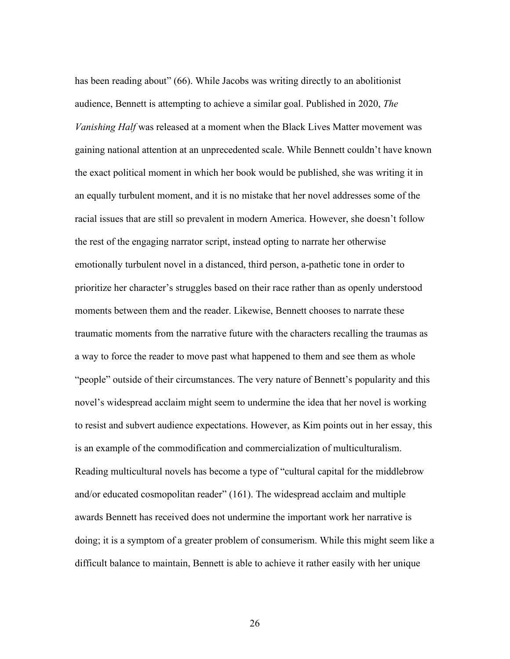has been reading about" (66). While Jacobs was writing directly to an abolitionist audience, Bennett is attempting to achieve a similar goal. Published in 2020, *The Vanishing Half* was released at a moment when the Black Lives Matter movement was gaining national attention at an unprecedented scale. While Bennett couldn't have known the exact political moment in which her book would be published, she was writing it in an equally turbulent moment, and it is no mistake that her novel addresses some of the racial issues that are still so prevalent in modern America. However, she doesn't follow the rest of the engaging narrator script, instead opting to narrate her otherwise emotionally turbulent novel in a distanced, third person, a-pathetic tone in order to prioritize her character's struggles based on their race rather than as openly understood moments between them and the reader. Likewise, Bennett chooses to narrate these traumatic moments from the narrative future with the characters recalling the traumas as a way to force the reader to move past what happened to them and see them as whole "people" outside of their circumstances. The very nature of Bennett's popularity and this novel's widespread acclaim might seem to undermine the idea that her novel is working to resist and subvert audience expectations. However, as Kim points out in her essay, this is an example of the commodification and commercialization of multiculturalism. Reading multicultural novels has become a type of "cultural capital for the middlebrow and/or educated cosmopolitan reader" (161). The widespread acclaim and multiple awards Bennett has received does not undermine the important work her narrative is doing; it is a symptom of a greater problem of consumerism. While this might seem like a difficult balance to maintain, Bennett is able to achieve it rather easily with her unique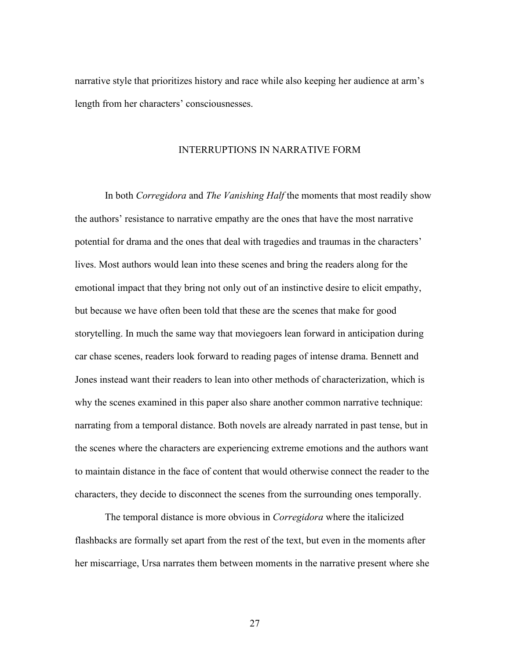narrative style that prioritizes history and race while also keeping her audience at arm's length from her characters' consciousnesses.

#### INTERRUPTIONS IN NARRATIVE FORM

In both *Corregidora* and *The Vanishing Half* the moments that most readily show the authors' resistance to narrative empathy are the ones that have the most narrative potential for drama and the ones that deal with tragedies and traumas in the characters' lives. Most authors would lean into these scenes and bring the readers along for the emotional impact that they bring not only out of an instinctive desire to elicit empathy, but because we have often been told that these are the scenes that make for good storytelling. In much the same way that moviegoers lean forward in anticipation during car chase scenes, readers look forward to reading pages of intense drama. Bennett and Jones instead want their readers to lean into other methods of characterization, which is why the scenes examined in this paper also share another common narrative technique: narrating from a temporal distance. Both novels are already narrated in past tense, but in the scenes where the characters are experiencing extreme emotions and the authors want to maintain distance in the face of content that would otherwise connect the reader to the characters, they decide to disconnect the scenes from the surrounding ones temporally.

The temporal distance is more obvious in *Corregidora* where the italicized flashbacks are formally set apart from the rest of the text, but even in the moments after her miscarriage, Ursa narrates them between moments in the narrative present where she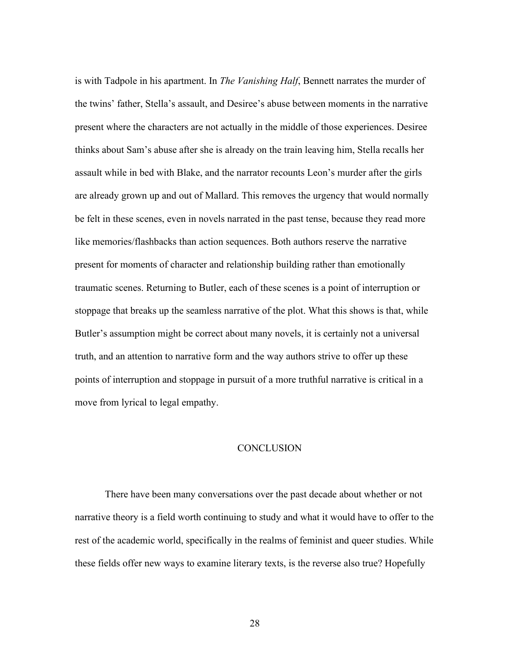is with Tadpole in his apartment. In *The Vanishing Half*, Bennett narrates the murder of the twins' father, Stella's assault, and Desiree's abuse between moments in the narrative present where the characters are not actually in the middle of those experiences. Desiree thinks about Sam's abuse after she is already on the train leaving him, Stella recalls her assault while in bed with Blake, and the narrator recounts Leon's murder after the girls are already grown up and out of Mallard. This removes the urgency that would normally be felt in these scenes, even in novels narrated in the past tense, because they read more like memories/flashbacks than action sequences. Both authors reserve the narrative present for moments of character and relationship building rather than emotionally traumatic scenes. Returning to Butler, each of these scenes is a point of interruption or stoppage that breaks up the seamless narrative of the plot. What this shows is that, while Butler's assumption might be correct about many novels, it is certainly not a universal truth, and an attention to narrative form and the way authors strive to offer up these points of interruption and stoppage in pursuit of a more truthful narrative is critical in a move from lyrical to legal empathy.

#### **CONCLUSION**

There have been many conversations over the past decade about whether or not narrative theory is a field worth continuing to study and what it would have to offer to the rest of the academic world, specifically in the realms of feminist and queer studies. While these fields offer new ways to examine literary texts, is the reverse also true? Hopefully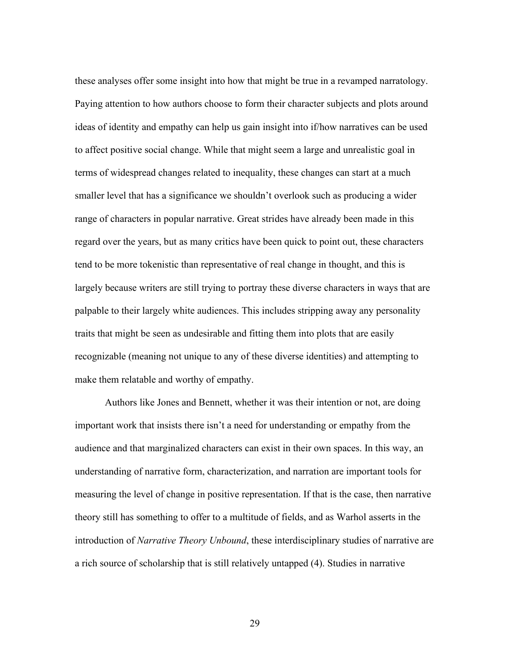these analyses offer some insight into how that might be true in a revamped narratology. Paying attention to how authors choose to form their character subjects and plots around ideas of identity and empathy can help us gain insight into if/how narratives can be used to affect positive social change. While that might seem a large and unrealistic goal in terms of widespread changes related to inequality, these changes can start at a much smaller level that has a significance we shouldn't overlook such as producing a wider range of characters in popular narrative. Great strides have already been made in this regard over the years, but as many critics have been quick to point out, these characters tend to be more tokenistic than representative of real change in thought, and this is largely because writers are still trying to portray these diverse characters in ways that are palpable to their largely white audiences. This includes stripping away any personality traits that might be seen as undesirable and fitting them into plots that are easily recognizable (meaning not unique to any of these diverse identities) and attempting to make them relatable and worthy of empathy.

Authors like Jones and Bennett, whether it was their intention or not, are doing important work that insists there isn't a need for understanding or empathy from the audience and that marginalized characters can exist in their own spaces. In this way, an understanding of narrative form, characterization, and narration are important tools for measuring the level of change in positive representation. If that is the case, then narrative theory still has something to offer to a multitude of fields, and as Warhol asserts in the introduction of *Narrative Theory Unbound*, these interdisciplinary studies of narrative are a rich source of scholarship that is still relatively untapped (4). Studies in narrative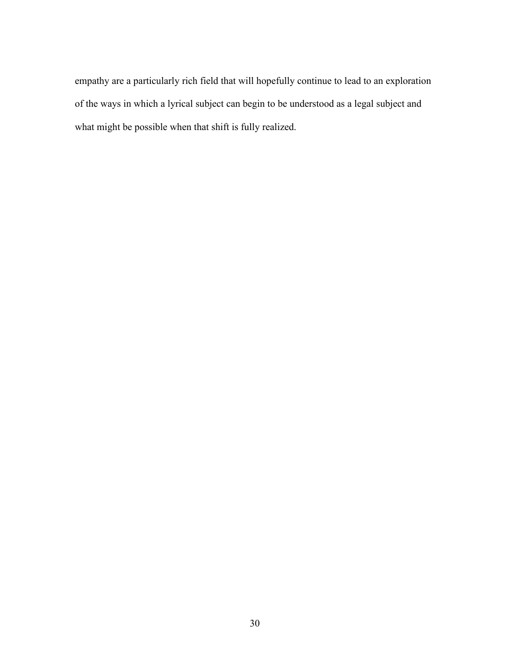empathy are a particularly rich field that will hopefully continue to lead to an exploration of the ways in which a lyrical subject can begin to be understood as a legal subject and what might be possible when that shift is fully realized.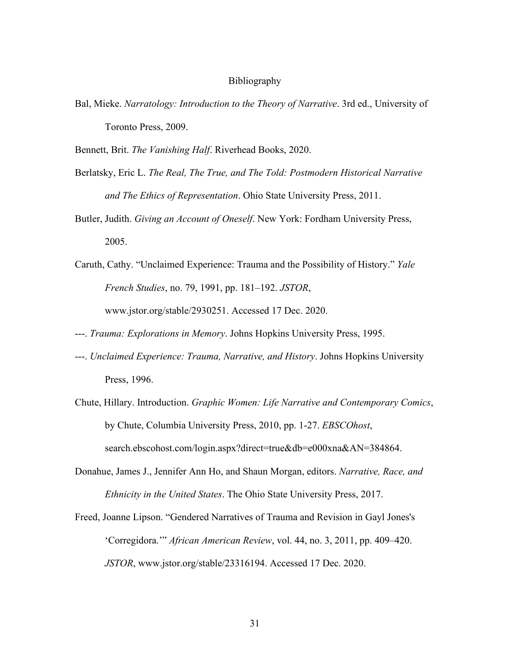#### Bibliography

Bal, Mieke. *Narratology: Introduction to the Theory of Narrative*. 3rd ed., University of Toronto Press, 2009.

Bennett, Brit. *The Vanishing Half*. Riverhead Books, 2020.

- Berlatsky, Eric L. *The Real, The True, and The Told: Postmodern Historical Narrative and The Ethics of Representation*. Ohio State University Press, 2011.
- Butler, Judith. *Giving an Account of Oneself*. New York: Fordham University Press, 2005.
- Caruth, Cathy. "Unclaimed Experience: Trauma and the Possibility of History." *Yale French Studies*, no. 79, 1991, pp. 181–192. *JSTOR*, www.jstor.org/stable/2930251. Accessed 17 Dec. 2020.
- ---. *Trauma: Explorations in Memory*. Johns Hopkins University Press, 1995.
- ---. *Unclaimed Experience: Trauma, Narrative, and History*. Johns Hopkins University Press, 1996.
- Chute, Hillary. Introduction. *Graphic Women: Life Narrative and Contemporary Comics*, by Chute, Columbia University Press, 2010, pp. 1-27. *EBSCOhost*, search.ebscohost.com/login.aspx?direct=true&db=e000xna&AN=384864.
- Donahue, James J., Jennifer Ann Ho, and Shaun Morgan, editors. *Narrative, Race, and Ethnicity in the United States*. The Ohio State University Press, 2017.
- Freed, Joanne Lipson. "Gendered Narratives of Trauma and Revision in Gayl Jones's 'Corregidora.'" *African American Review*, vol. 44, no. 3, 2011, pp. 409–420. *JSTOR*, www.jstor.org/stable/23316194. Accessed 17 Dec. 2020.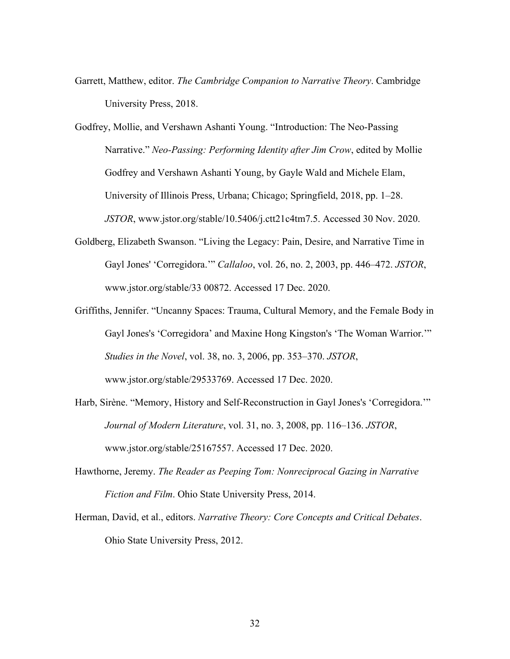Garrett, Matthew, editor. *The Cambridge Companion to Narrative Theory*. Cambridge University Press, 2018.

Godfrey, Mollie, and Vershawn Ashanti Young. "Introduction: The Neo-Passing Narrative." *Neo-Passing: Performing Identity after Jim Crow*, edited by Mollie Godfrey and Vershawn Ashanti Young, by Gayle Wald and Michele Elam, University of Illinois Press, Urbana; Chicago; Springfield, 2018, pp. 1–28. *JSTOR*, www.jstor.org/stable/10.5406/j.ctt21c4tm7.5. Accessed 30 Nov. 2020.

- Goldberg, Elizabeth Swanson. "Living the Legacy: Pain, Desire, and Narrative Time in Gayl Jones' 'Corregidora.'" *Callaloo*, vol. 26, no. 2, 2003, pp. 446–472. *JSTOR*, www.jstor.org/stable/33 00872. Accessed 17 Dec. 2020.
- Griffiths, Jennifer. "Uncanny Spaces: Trauma, Cultural Memory, and the Female Body in Gayl Jones's 'Corregidora' and Maxine Hong Kingston's 'The Woman Warrior.'" *Studies in the Novel*, vol. 38, no. 3, 2006, pp. 353–370. *JSTOR*, www.jstor.org/stable/29533769. Accessed 17 Dec. 2020.
- Harb, Sirène. "Memory, History and Self-Reconstruction in Gayl Jones's 'Corregidora.'" *Journal of Modern Literature*, vol. 31, no. 3, 2008, pp. 116–136. *JSTOR*, www.jstor.org/stable/25167557. Accessed 17 Dec. 2020.
- Hawthorne, Jeremy. *The Reader as Peeping Tom: Nonreciprocal Gazing in Narrative Fiction and Film*. Ohio State University Press, 2014.
- Herman, David, et al., editors. *Narrative Theory: Core Concepts and Critical Debates*. Ohio State University Press, 2012.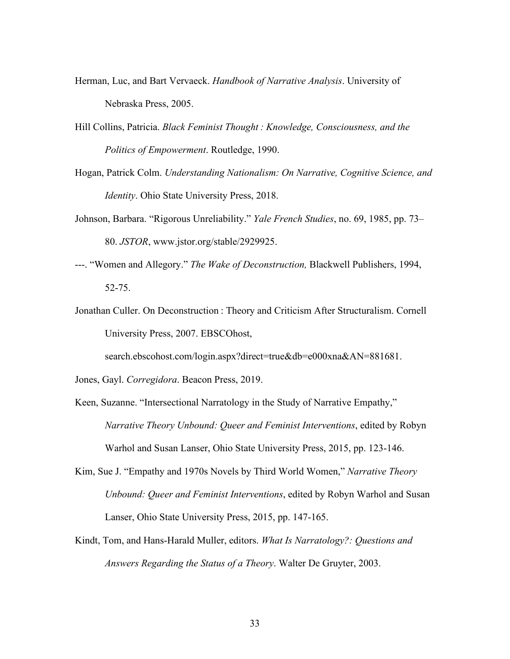- Herman, Luc, and Bart Vervaeck. *Handbook of Narrative Analysis*. University of Nebraska Press, 2005.
- Hill Collins, Patricia. *Black Feminist Thought : Knowledge, Consciousness, and the Politics of Empowerment*. Routledge, 1990.
- Hogan, Patrick Colm. *Understanding Nationalism: On Narrative, Cognitive Science, and Identity*. Ohio State University Press, 2018.
- Johnson, Barbara. "Rigorous Unreliability." *Yale French Studies*, no. 69, 1985, pp. 73– 80. *JSTOR*, www.jstor.org/stable/2929925.
- ---. "Women and Allegory." *The Wake of Deconstruction,* Blackwell Publishers, 1994, 52-75.
- Jonathan Culler. On Deconstruction : Theory and Criticism After Structuralism. Cornell University Press, 2007. EBSCOhost,

search.ebscohost.com/login.aspx?direct=true&db=e000xna&AN=881681.

Jones, Gayl. *Corregidora*. Beacon Press, 2019.

- Keen, Suzanne. "Intersectional Narratology in the Study of Narrative Empathy," *Narrative Theory Unbound: Queer and Feminist Interventions*, edited by Robyn Warhol and Susan Lanser, Ohio State University Press, 2015, pp. 123-146.
- Kim, Sue J. "Empathy and 1970s Novels by Third World Women," *Narrative Theory Unbound: Queer and Feminist Interventions*, edited by Robyn Warhol and Susan Lanser, Ohio State University Press, 2015, pp. 147-165.
- Kindt, Tom, and Hans-Harald Muller, editors. *What Is Narratology?: Questions and Answers Regarding the Status of a Theory*. Walter De Gruyter, 2003.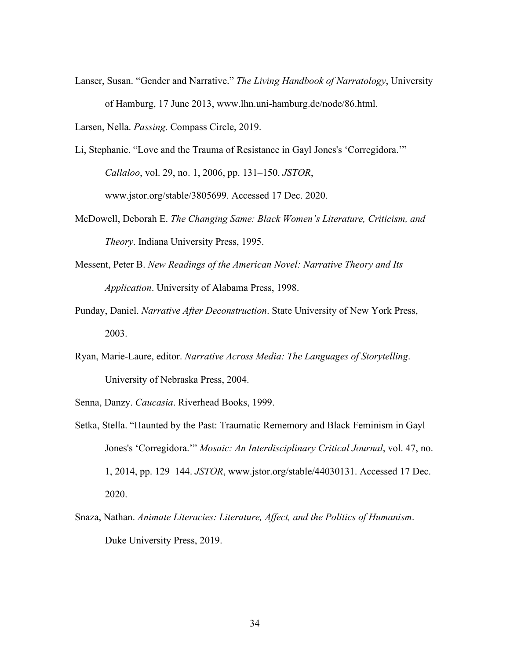Lanser, Susan. "Gender and Narrative." *The Living Handbook of Narratology*, University of Hamburg, 17 June 2013, www.lhn.uni-hamburg.de/node/86.html.

Larsen, Nella. *Passing*. Compass Circle, 2019.

Li, Stephanie. "Love and the Trauma of Resistance in Gayl Jones's 'Corregidora.'" *Callaloo*, vol. 29, no. 1, 2006, pp. 131–150. *JSTOR*, www.jstor.org/stable/3805699. Accessed 17 Dec. 2020.

- McDowell, Deborah E. *The Changing Same: Black Women's Literature, Criticism, and Theory*. Indiana University Press, 1995.
- Messent, Peter B. *New Readings of the American Novel: Narrative Theory and Its Application*. University of Alabama Press, 1998.
- Punday, Daniel. *Narrative After Deconstruction*. State University of New York Press, 2003.
- Ryan, Marie-Laure, editor. *Narrative Across Media: The Languages of Storytelling*. University of Nebraska Press, 2004.
- Senna, Danzy. *Caucasia*. Riverhead Books, 1999.
- Setka, Stella. "Haunted by the Past: Traumatic Rememory and Black Feminism in Gayl Jones's 'Corregidora.'" *Mosaic: An Interdisciplinary Critical Journal*, vol. 47, no. 1, 2014, pp. 129–144. *JSTOR*, www.jstor.org/stable/44030131. Accessed 17 Dec. 2020.
- Snaza, Nathan. *Animate Literacies: Literature, Affect, and the Politics of Humanism*. Duke University Press, 2019.